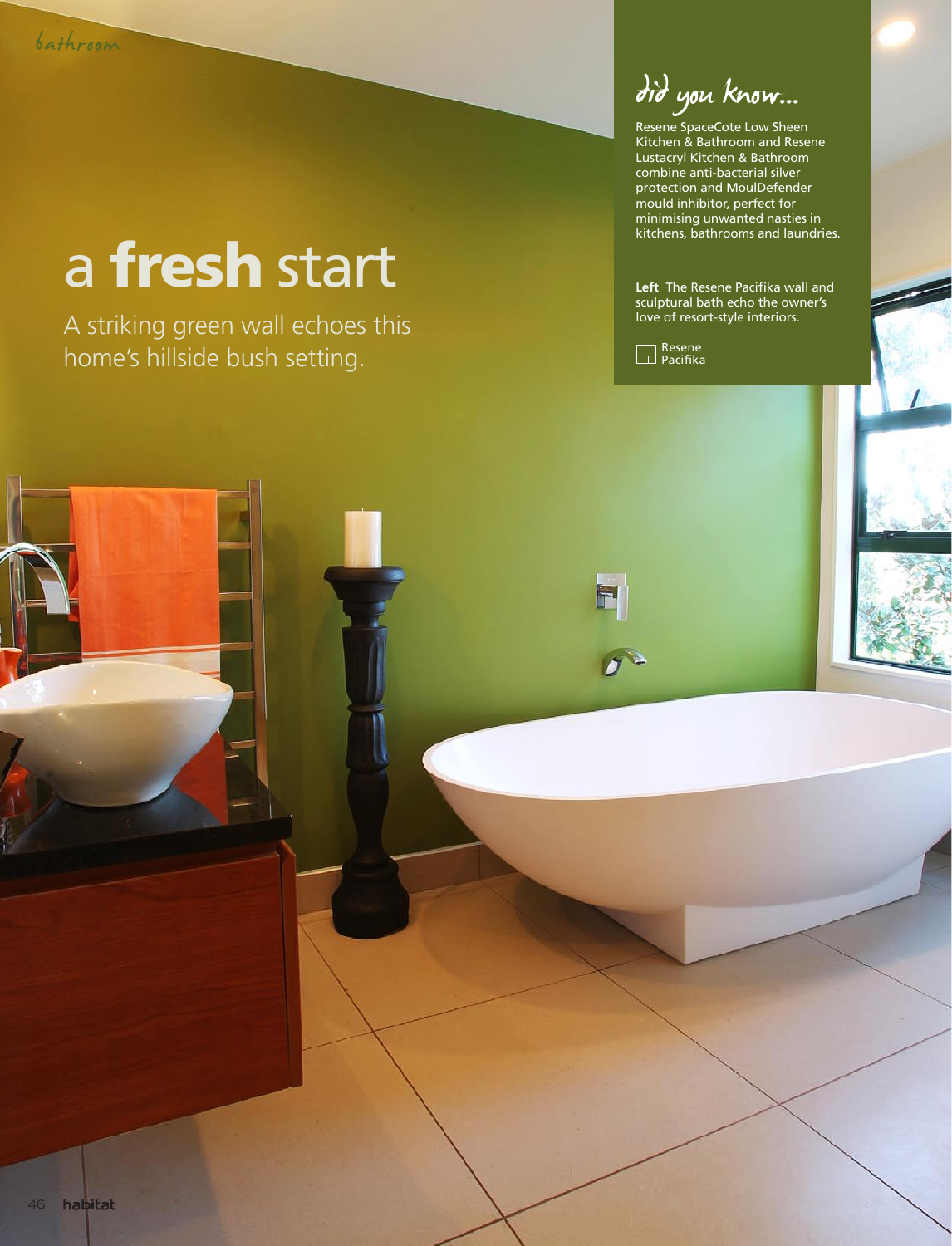## a fresh start

A striking green wall echoes this home's hillside bush setting.

did you know...

Resene SpaceCote Low Sheen Kitchen & Bathroom and Resene Lustacryl Kitchen & Bathroom combine anti-bacterial silver protection and MoulDefender mould inhibitor, perfect for minimising unwanted nasties in kitchens, bathrooms and laundries.

**Left** The Resene Pacifika wall and sculptural bath echo the owner's love of resort-style interiors.



F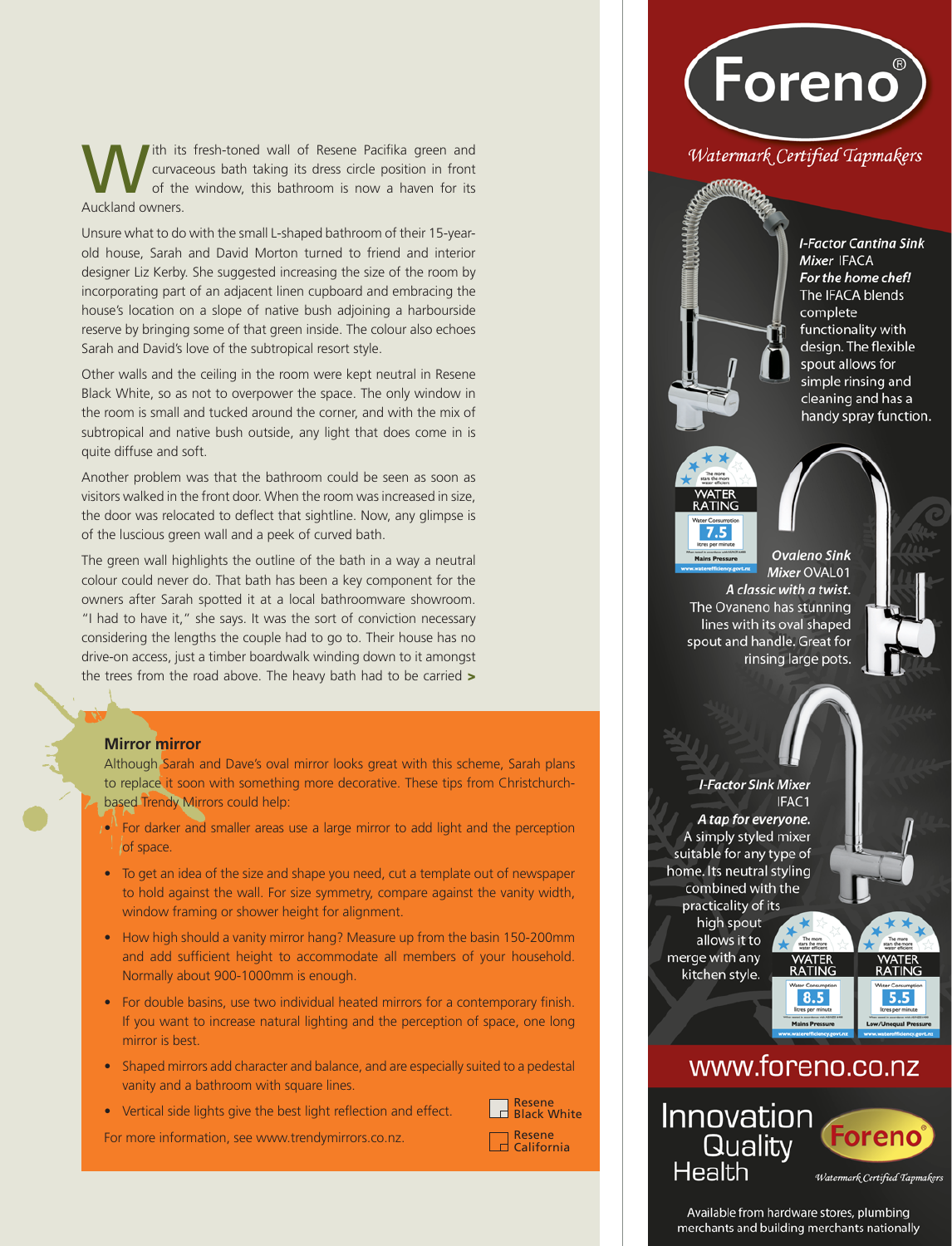ith its fresh-toned wall of Resene Pacifika green and curvaceous bath taking its dress circle position in front of the window, this bathroom is now a haven for its Auckland owners.

Unsure what to do with the small L-shaped bathroom of their 15-yearold house, Sarah and David Morton turned to friend and interior designer Liz Kerby. She suggested increasing the size of the room by incorporating part of an adjacent linen cupboard and embracing the house's location on a slope of native bush adjoining a harbourside reserve by bringing some of that green inside. The colour also echoes Sarah and David's love of the subtropical resort style.

Other walls and the ceiling in the room were kept neutral in Resene Black White, so as not to overpower the space. The only window in the room is small and tucked around the corner, and with the mix of subtropical and native bush outside, any light that does come in is quite diffuse and soft.

Another problem was that the bathroom could be seen as soon as visitors walked in the front door. When the room was increased in size, the door was relocated to deflect that sightline. Now, any glimpse is of the luscious green wall and a peek of curved bath.

The green wall highlights the outline of the bath in a way a neutral colour could never do. That bath has been a key component for the owners after Sarah spotted it at a local bathroomware showroom. "I had to have it," she says. It was the sort of conviction necessary considering the lengths the couple had to go to. Their house has no drive-on access, just a timber boardwalk winding down to it amongst the trees from the road above. The heavy bath had to be carried >

## **Mirror mirror**

Although Sarah and Dave's oval mirror looks great with this scheme, Sarah plans to replace it soon with something more decorative. These tips from Christchurchbased Trendy Mirrors could help:

- •<sup>11</sup> For darker and smaller areas use a large mirror to add light and the perception of space.
- To get an idea of the size and shape you need, cut a template out of newspaper to hold against the wall. For size symmetry, compare against the vanity width, window framing or shower height for alignment.
- How high should a vanity mirror hang? Measure up from the basin 150-200mm and add sufficient height to accommodate all members of your household. Normally about 900-1000mm is enough.
- For double basins, use two individual heated mirrors for a contemporary finish. If you want to increase natural lighting and the perception of space, one long mirror is best.
- Shaped mirrors add character and balance, and are especially suited to a pedestal vanity and a bathroom with square lines.
- Vertical side lights give the best light reflection and effect.



For more information, see www.trendymirrors.co.nz.

Resene California